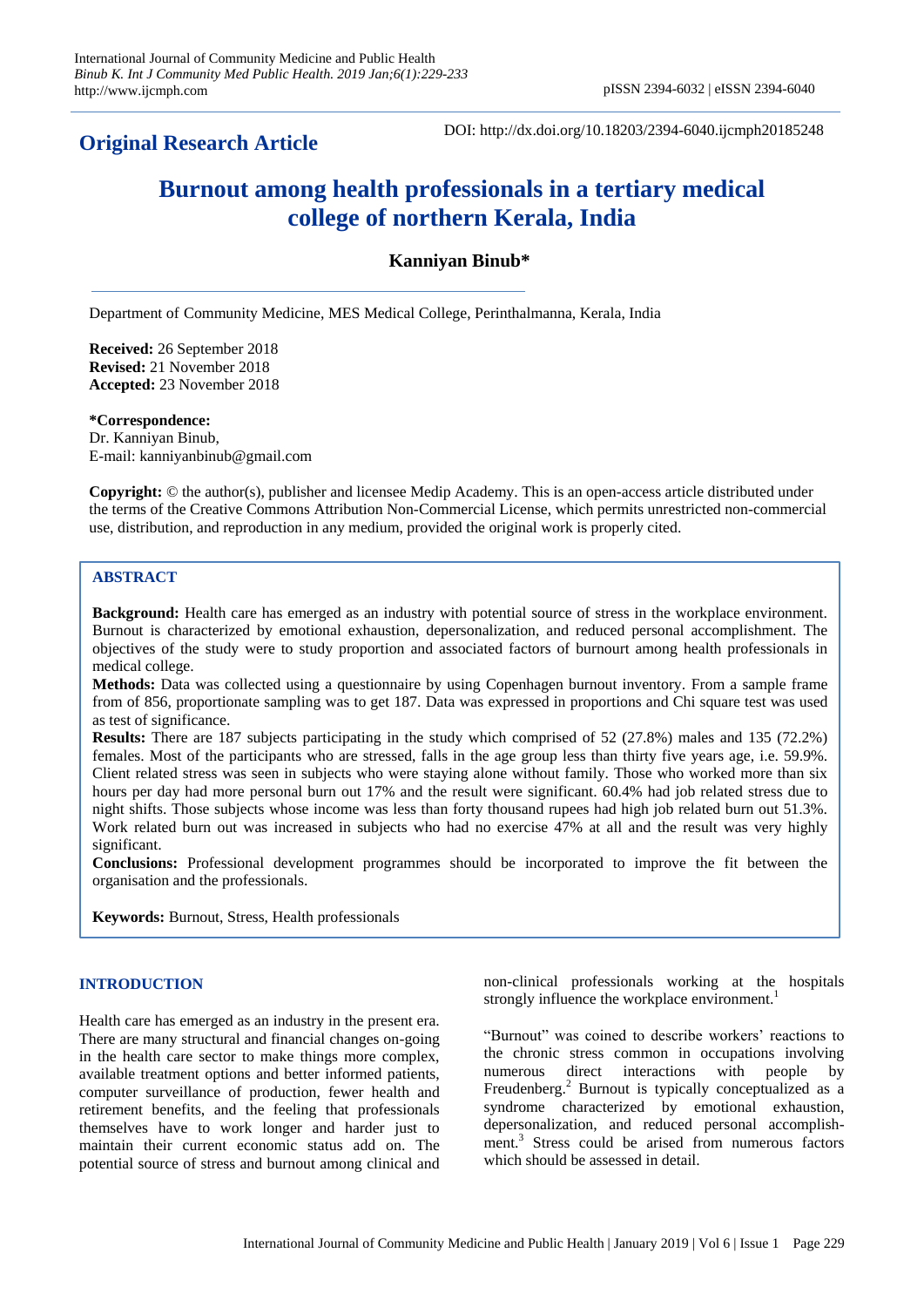## **Original Research Article**

DOI: http://dx.doi.org/10.18203/2394-6040.ijcmph20185248

# **Burnout among health professionals in a tertiary medical college of northern Kerala, India**

### **Kanniyan Binub\***

Department of Community Medicine, MES Medical College, Perinthalmanna, Kerala, India

**Received:** 26 September 2018 **Revised:** 21 November 2018 **Accepted:** 23 November 2018

**\*Correspondence:** Dr. Kanniyan Binub, E-mail: kanniyanbinub@gmail.com

**Copyright:** © the author(s), publisher and licensee Medip Academy. This is an open-access article distributed under the terms of the Creative Commons Attribution Non-Commercial License, which permits unrestricted non-commercial use, distribution, and reproduction in any medium, provided the original work is properly cited.

#### **ABSTRACT**

**Background:** Health care has emerged as an industry with potential source of stress in the workplace environment. Burnout is characterized by emotional exhaustion, depersonalization, and reduced personal accomplishment. The objectives of the study were to study proportion and associated factors of burnourt among health professionals in medical college.

**Methods:** Data was collected using a questionnaire by using Copenhagen burnout inventory. From a sample frame from of 856, proportionate sampling was to get 187. Data was expressed in proportions and Chi square test was used as test of significance.

**Results:** There are 187 subjects participating in the study which comprised of 52 (27.8%) males and 135 (72.2%) females. Most of the participants who are stressed, falls in the age group less than thirty five years age, i.e. 59.9%. Client related stress was seen in subjects who were staying alone without family. Those who worked more than six hours per day had more personal burn out 17% and the result were significant. 60.4% had job related stress due to night shifts. Those subjects whose income was less than forty thousand rupees had high job related burn out 51.3%. Work related burn out was increased in subjects who had no exercise 47% at all and the result was very highly significant.

**Conclusions:** Professional development programmes should be incorporated to improve the fit between the organisation and the professionals.

**Keywords:** Burnout, Stress, Health professionals

#### **INTRODUCTION**

Health care has emerged as an industry in the present era. There are many structural and financial changes on-going in the health care sector to make things more complex, available treatment options and better informed patients, computer surveillance of production, fewer health and retirement benefits, and the feeling that professionals themselves have to work longer and harder just to maintain their current economic status add on. The potential source of stress and burnout among clinical and non-clinical professionals working at the hospitals strongly influence the workplace environment.<sup>1</sup>

"Burnout" was coined to describe workers" reactions to the chronic stress common in occupations involving numerous direct interactions with people by Freudenberg.<sup>2</sup> Burnout is typically conceptualized as a syndrome characterized by emotional exhaustion, depersonalization, and reduced personal accomplishment.<sup>3</sup> Stress could be arised from numerous factors which should be assessed in detail.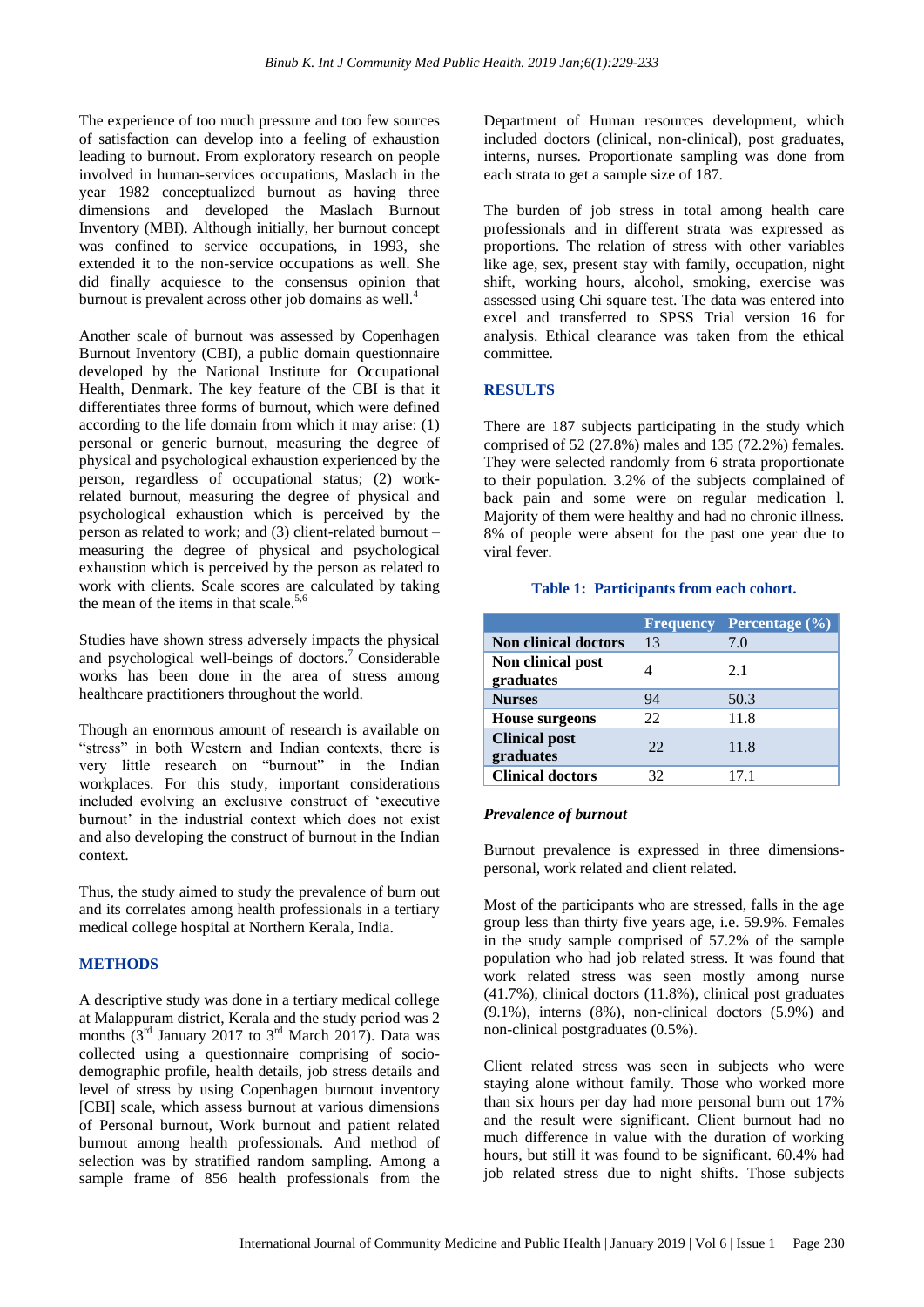The experience of too much pressure and too few sources of satisfaction can develop into a feeling of exhaustion leading to burnout. From exploratory research on people involved in human-services occupations, Maslach in the year 1982 conceptualized burnout as having three dimensions and developed the Maslach Burnout Inventory (MBI). Although initially, her burnout concept was confined to service occupations, in 1993, she extended it to the non-service occupations as well. She did finally acquiesce to the consensus opinion that burnout is prevalent across other job domains as well.<sup>4</sup>

Another scale of burnout was assessed by Copenhagen Burnout Inventory (CBI), a public domain questionnaire developed by the National Institute for Occupational Health, Denmark. The key feature of the CBI is that it differentiates three forms of burnout, which were defined according to the life domain from which it may arise: (1) personal or generic burnout, measuring the degree of physical and psychological exhaustion experienced by the person, regardless of occupational status; (2) workrelated burnout, measuring the degree of physical and psychological exhaustion which is perceived by the person as related to work; and (3) client-related burnout – measuring the degree of physical and psychological exhaustion which is perceived by the person as related to work with clients. Scale scores are calculated by taking the mean of the items in that scale. $5,6$ 

Studies have shown stress adversely impacts the physical and psychological well-beings of doctors.<sup>7</sup> Considerable works has been done in the area of stress among healthcare practitioners throughout the world.

Though an enormous amount of research is available on "stress" in both Western and Indian contexts, there is very little research on "burnout" in the Indian workplaces. For this study, important considerations included evolving an exclusive construct of "executive burnout" in the industrial context which does not exist and also developing the construct of burnout in the Indian context.

Thus, the study aimed to study the prevalence of burn out and its correlates among health professionals in a tertiary medical college hospital at Northern Kerala, India.

#### **METHODS**

A descriptive study was done in a tertiary medical college at Malappuram district, Kerala and the study period was 2 months  $(3<sup>rd</sup>$  January 2017 to  $3<sup>rd</sup>$  March 2017). Data was collected using a questionnaire comprising of sociodemographic profile, health details, job stress details and level of stress by using Copenhagen burnout inventory [CBI] scale, which assess burnout at various dimensions of Personal burnout, Work burnout and patient related burnout among health professionals. And method of selection was by stratified random sampling. Among a sample frame of 856 health professionals from the Department of Human resources development, which included doctors (clinical, non-clinical), post graduates, interns, nurses. Proportionate sampling was done from each strata to get a sample size of 187.

The burden of job stress in total among health care professionals and in different strata was expressed as proportions. The relation of stress with other variables like age, sex, present stay with family, occupation, night shift, working hours, alcohol, smoking, exercise was assessed using Chi square test. The data was entered into excel and transferred to SPSS Trial version 16 for analysis. Ethical clearance was taken from the ethical committee.

#### **RESULTS**

There are 187 subjects participating in the study which comprised of 52 (27.8%) males and 135 (72.2%) females. They were selected randomly from 6 strata proportionate to their population. 3.2% of the subjects complained of back pain and some were on regular medication l. Majority of them were healthy and had no chronic illness. 8% of people were absent for the past one year due to viral fever.

#### **Table 1: Participants from each cohort.**

|                                   |    | <b>Frequency</b> Percentage (%) |
|-----------------------------------|----|---------------------------------|
| Non clinical doctors              | 13 | 7.0                             |
| Non clinical post<br>graduates    |    | 2.1                             |
| <b>Nurses</b>                     | 94 | 50.3                            |
| <b>House surgeons</b>             | 22 | 11.8                            |
| <b>Clinical post</b><br>graduates | 22 | 11.8                            |
| <b>Clinical doctors</b>           | 32 | 17.1                            |

#### *Prevalence of burnout*

Burnout prevalence is expressed in three dimensionspersonal, work related and client related.

Most of the participants who are stressed, falls in the age group less than thirty five years age, i.e. 59.9%. Females in the study sample comprised of 57.2% of the sample population who had job related stress. It was found that work related stress was seen mostly among nurse (41.7%), clinical doctors (11.8%), clinical post graduates  $(9.1\%)$ , interns  $(8\%)$ , non-clinical doctors  $(5.9\%)$  and non-clinical postgraduates (0.5%).

Client related stress was seen in subjects who were staying alone without family. Those who worked more than six hours per day had more personal burn out 17% and the result were significant. Client burnout had no much difference in value with the duration of working hours, but still it was found to be significant. 60.4% had job related stress due to night shifts. Those subjects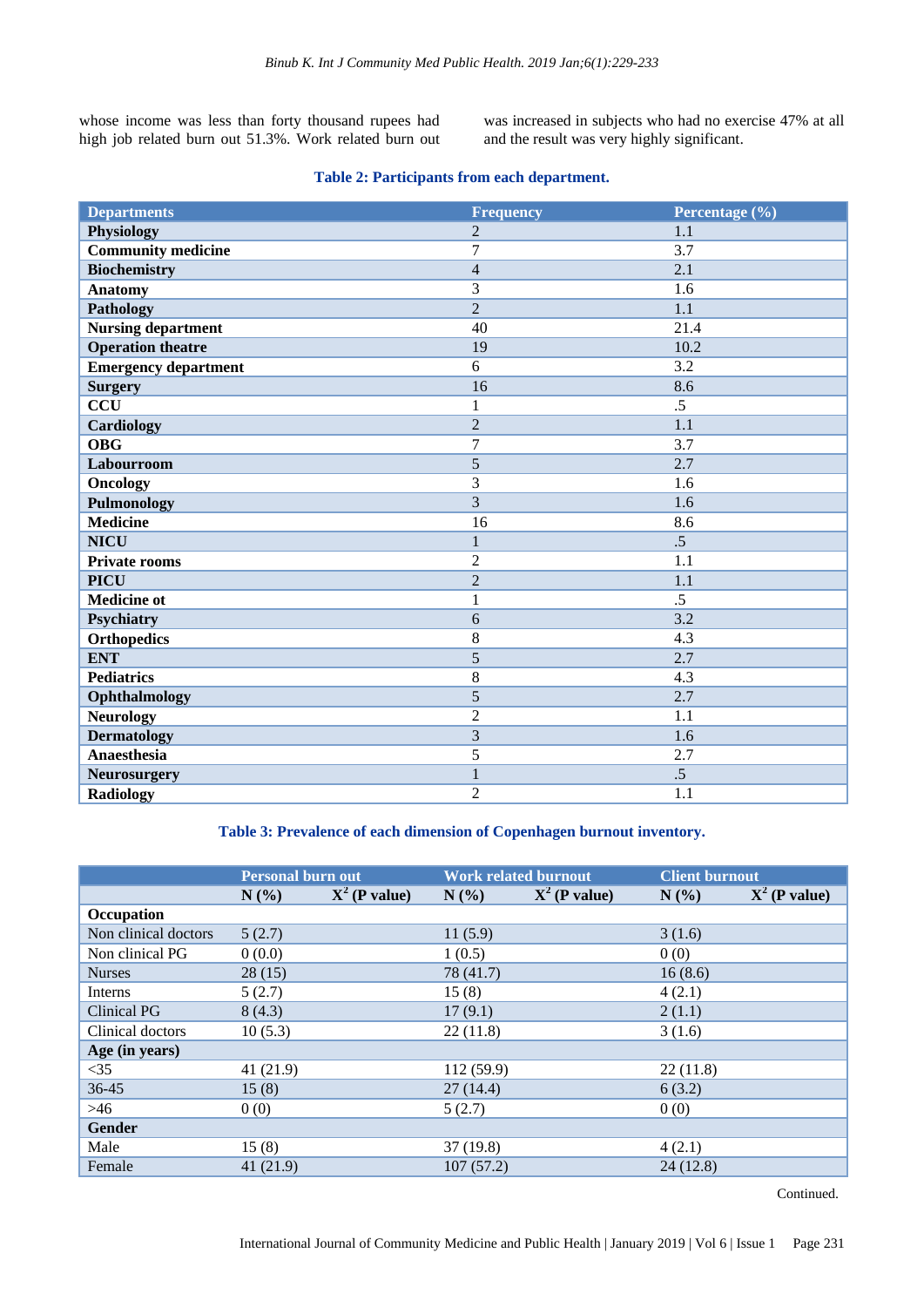whose income was less than forty thousand rupees had high job related burn out 51.3%. Work related burn out was increased in subjects who had no exercise 47% at all and the result was very highly significant.

#### **Table 2: Participants from each department.**

| <b>Departments</b>          | <b>Frequency</b> | Percentage (%)  |
|-----------------------------|------------------|-----------------|
| Physiology                  | $\overline{2}$   | 1.1             |
| <b>Community medicine</b>   | 7                | 3.7             |
| <b>Biochemistry</b>         | $\overline{4}$   | 2.1             |
| <b>Anatomy</b>              | 3                | 1.6             |
| <b>Pathology</b>            | $\overline{2}$   | 1.1             |
| <b>Nursing department</b>   | 40               | 21.4            |
| <b>Operation theatre</b>    | 19               | 10.2            |
| <b>Emergency department</b> | 6                | 3.2             |
| <b>Surgery</b>              | 16               | 8.6             |
| <b>CCU</b>                  | 1                | .5              |
| Cardiology                  | $\overline{2}$   | 1.1             |
| <b>OBG</b>                  | 7                | 3.7             |
| Labourroom                  | 5                | 2.7             |
| <b>Oncology</b>             | 3                | 1.6             |
| <b>Pulmonology</b>          | 3                | 1.6             |
| <b>Medicine</b>             | 16               | 8.6             |
| <b>NICU</b>                 | $\mathbf{1}$     | .5              |
| <b>Private rooms</b>        | $\overline{2}$   | 1.1             |
| <b>PICU</b>                 | $\overline{2}$   | 1.1             |
| <b>Medicine ot</b>          | $\mathbf{1}$     | $\overline{.5}$ |
| Psychiatry                  | 6                | 3.2             |
| <b>Orthopedics</b>          | 8                | 4.3             |
| <b>ENT</b>                  | 5                | 2.7             |
| <b>Pediatrics</b>           | $\,8\,$          | 4.3             |
| Ophthalmology               | 5                | 2.7             |
| <b>Neurology</b>            | $\overline{2}$   | 1.1             |
| <b>Dermatology</b>          | 3                | 1.6             |
| <b>Anaesthesia</b>          | 5                | 2.7             |
| Neurosurgery                | $\mathbf{1}$     | .5              |
| <b>Radiology</b>            | $\overline{2}$   | 1.1             |

#### **Table 3: Prevalence of each dimension of Copenhagen burnout inventory.**

|                      | <b>Personal burn out</b> |                 | <b>Work related burnout</b> |                 | <b>Client burnout</b> |                 |
|----------------------|--------------------------|-----------------|-----------------------------|-----------------|-----------------------|-----------------|
|                      | N(%)                     | $X^2$ (P value) | N(%)                        | $X^2$ (P value) | N(%)                  | $X^2$ (P value) |
| Occupation           |                          |                 |                             |                 |                       |                 |
| Non clinical doctors | 5(2.7)                   |                 | 11(5.9)                     |                 | 3(1.6)                |                 |
| Non clinical PG      | 0(0.0)                   |                 | 1(0.5)                      |                 | 0(0)                  |                 |
| <b>Nurses</b>        | 28(15)                   |                 | 78 (41.7)                   |                 | 16(8.6)               |                 |
| Interns              | 5(2.7)                   |                 | 15(8)                       |                 | 4(2.1)                |                 |
| Clinical PG          | 8(4.3)                   |                 | 17(9.1)                     |                 | 2(1.1)                |                 |
| Clinical doctors     | 10(5.3)                  |                 | 22(11.8)                    |                 | 3(1.6)                |                 |
| Age (in years)       |                          |                 |                             |                 |                       |                 |
| $<$ 35               | 41(21.9)                 |                 | 112 (59.9)                  |                 | 22(11.8)              |                 |
| $36 - 45$            | 15(8)                    |                 | 27(14.4)                    |                 | 6(3.2)                |                 |
| >46                  | 0(0)                     |                 | 5(2.7)                      |                 | 0(0)                  |                 |
| <b>Gender</b>        |                          |                 |                             |                 |                       |                 |
| Male                 | 15(8)                    |                 | 37(19.8)                    |                 | 4(2.1)                |                 |
| Female               | 41(21.9)                 |                 | 107(57.2)                   |                 | 24(12.8)              |                 |

Continued.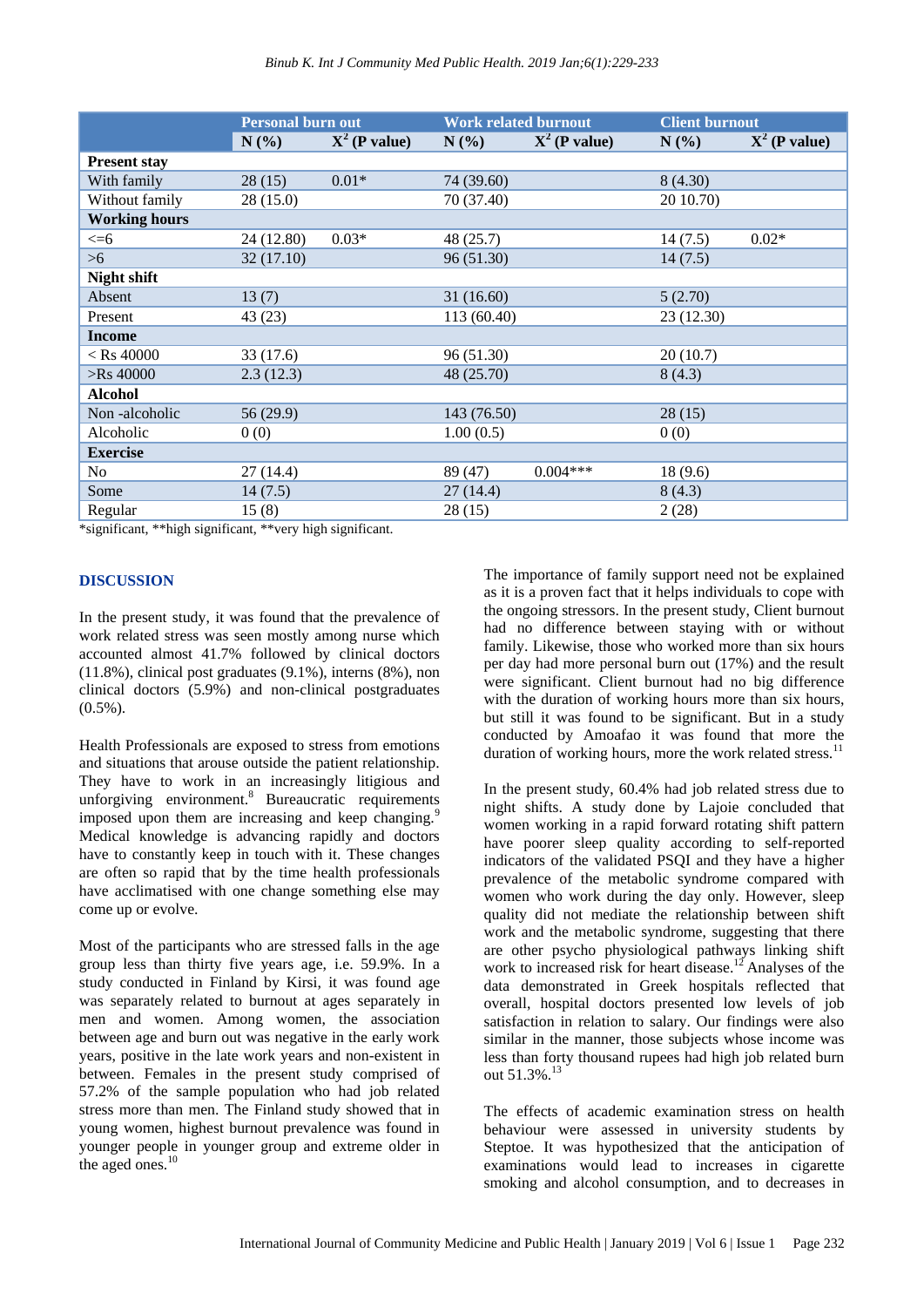|                      | Personal burn out |                 | <b>Work related burnout</b> |                 | <b>Client burnout</b> |                 |
|----------------------|-------------------|-----------------|-----------------------------|-----------------|-----------------------|-----------------|
|                      | N(%)              | $X^2$ (P value) | N(%)                        | $X^2$ (P value) | N(%)                  | $X^2$ (P value) |
| <b>Present stay</b>  |                   |                 |                             |                 |                       |                 |
| With family          | 28(15)            | $0.01*$         | 74 (39.60)                  |                 | 8(4.30)               |                 |
| Without family       | 28(15.0)          |                 | 70 (37.40)                  |                 | 20 10.70)             |                 |
| <b>Working hours</b> |                   |                 |                             |                 |                       |                 |
| $<=$ 6               | 24 (12.80)        | $0.03*$         | 48 (25.7)                   |                 | 14(7.5)               | $0.02*$         |
| >6                   | 32 (17.10)        |                 | 96 (51.30)                  |                 | 14(7.5)               |                 |
| Night shift          |                   |                 |                             |                 |                       |                 |
| Absent               | 13(7)             |                 | 31(16.60)                   |                 | 5(2.70)               |                 |
| Present              | 43(23)            |                 | 113 (60.40)                 |                 | 23 (12.30)            |                 |
| <b>Income</b>        |                   |                 |                             |                 |                       |                 |
| $<$ Rs 40000         | 33 (17.6)         |                 | 96 (51.30)                  |                 | 20(10.7)              |                 |
| $>$ Rs 40000         | 2.3(12.3)         |                 | 48 (25.70)                  |                 | 8(4.3)                |                 |
| <b>Alcohol</b>       |                   |                 |                             |                 |                       |                 |
| Non-alcoholic        | 56 (29.9)         |                 | 143 (76.50)                 |                 | 28(15)                |                 |
| Alcoholic            | 0(0)              |                 | 1.00(0.5)                   |                 | 0(0)                  |                 |
| <b>Exercise</b>      |                   |                 |                             |                 |                       |                 |
| No                   | 27(14.4)          |                 | 89 (47)                     | $0.004***$      | 18(9.6)               |                 |
| Some                 | 14(7.5)           |                 | 27(14.4)                    |                 | 8(4.3)                |                 |
| Regular              | 15(8)             |                 | 28(15)                      |                 | 2(28)                 |                 |

\*significant, \*\*high significant, \*\*very high significant.

#### **DISCUSSION**

In the present study, it was found that the prevalence of work related stress was seen mostly among nurse which accounted almost 41.7% followed by clinical doctors (11.8%), clinical post graduates (9.1%), interns (8%), non clinical doctors (5.9%) and non-clinical postgraduates  $(0.5\%)$ .

Health Professionals are exposed to stress from emotions and situations that arouse outside the patient relationship. They have to work in an increasingly litigious and unforgiving environment. <sup>8</sup> Bureaucratic requirements imposed upon them are increasing and keep changing.<sup>9</sup> Medical knowledge is advancing rapidly and doctors have to constantly keep in touch with it. These changes are often so rapid that by the time health professionals have acclimatised with one change something else may come up or evolve.

Most of the participants who are stressed falls in the age group less than thirty five years age, i.e. 59.9%. In a study conducted in Finland by Kirsi, it was found age was separately related to burnout at ages separately in men and women. Among women, the association between age and burn out was negative in the early work years, positive in the late work years and non-existent in between. Females in the present study comprised of 57.2% of the sample population who had job related stress more than men. The Finland study showed that in young women, highest burnout prevalence was found in younger people in younger group and extreme older in the aged ones. $10$ 

The importance of family support need not be explained as it is a proven fact that it helps individuals to cope with the ongoing stressors. In the present study, Client burnout had no difference between staying with or without family. Likewise, those who worked more than six hours per day had more personal burn out (17%) and the result were significant. Client burnout had no big difference with the duration of working hours more than six hours, but still it was found to be significant. But in a study conducted by Amoafao it was found that more the duration of working hours, more the work related stress. $^{11}$ 

In the present study, 60.4% had job related stress due to night shifts. A study done by Lajoie concluded that women working in a rapid forward rotating shift pattern have poorer sleep quality according to self-reported indicators of the validated PSQI and they have a higher prevalence of the metabolic syndrome compared with women who work during the day only. However, sleep quality did not mediate the relationship between shift work and the metabolic syndrome, suggesting that there are other psycho physiological pathways linking shift work to increased risk for heart disease.<sup>12</sup> Analyses of the data demonstrated in Greek hospitals reflected that overall, hospital doctors presented low levels of job satisfaction in relation to salary. Our findings were also similar in the manner, those subjects whose income was less than forty thousand rupees had high job related burn out 51.3%. 13

The effects of academic examination stress on health behaviour were assessed in university students by Steptoe. It was hypothesized that the anticipation of examinations would lead to increases in cigarette smoking and alcohol consumption, and to decreases in